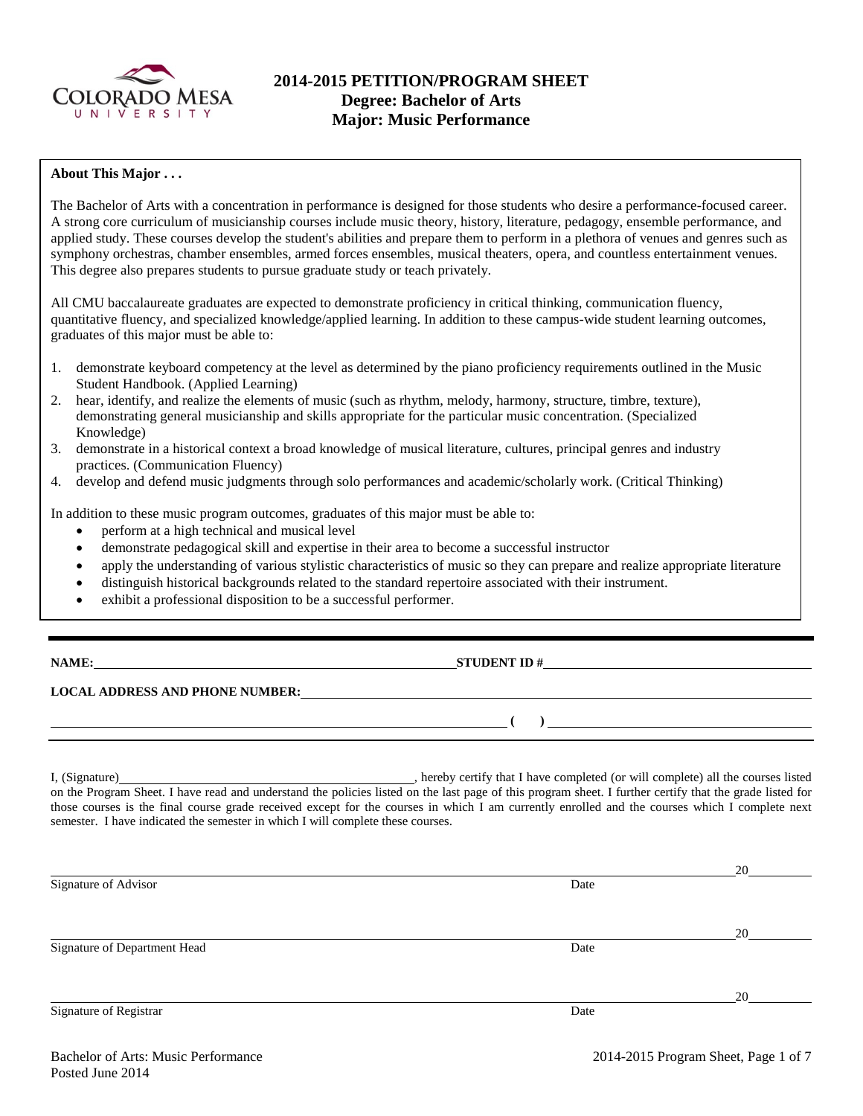

# **2014-2015 PETITION/PROGRAM SHEET Degree: Bachelor of Arts Major: Music Performance**

#### **About This Major . . .**

The Bachelor of Arts with a concentration in performance is designed for those students who desire a performance-focused career. A strong core curriculum of musicianship courses include music theory, history, literature, pedagogy, ensemble performance, and applied study. These courses develop the student's abilities and prepare them to perform in a plethora of venues and genres such as symphony orchestras, chamber ensembles, armed forces ensembles, musical theaters, opera, and countless entertainment venues. This degree also prepares students to pursue graduate study or teach privately.

All CMU baccalaureate graduates are expected to demonstrate proficiency in critical thinking, communication fluency, quantitative fluency, and specialized knowledge/applied learning. In addition to these campus-wide student learning outcomes, graduates of this major must be able to:

- 1. demonstrate keyboard competency at the level as determined by the piano proficiency requirements outlined in the Music Student Handbook. (Applied Learning)
- 2. hear, identify, and realize the elements of music (such as rhythm, melody, harmony, structure, timbre, texture), demonstrating general musicianship and skills appropriate for the particular music concentration. (Specialized Knowledge)
- 3. demonstrate in a historical context a broad knowledge of musical literature, cultures, principal genres and industry practices. (Communication Fluency)
- 4. develop and defend music judgments through solo performances and academic/scholarly work. (Critical Thinking)

In addition to these music program outcomes, graduates of this major must be able to:

- perform at a high technical and musical level
- demonstrate pedagogical skill and expertise in their area to become a successful instructor
- apply the understanding of various stylistic characteristics of music so they can prepare and realize appropriate literature
- distinguish historical backgrounds related to the standard repertoire associated with their instrument.
- exhibit a professional disposition to be a successful performer.

**NAME: STUDENT ID #** 

### **LOCAL ADDRESS AND PHONE NUMBER:**

I, (Signature) , hereby certify that I have completed (or will complete) all the courses listed on the Program Sheet. I have read and understand the policies listed on the last page of this program sheet. I further certify that the grade listed for those courses is the final course grade received except for the courses in which I am currently enrolled and the courses which I complete next semester. I have indicated the semester in which I will complete these courses.

|                              |      | 20 |
|------------------------------|------|----|
| Signature of Advisor         | Date |    |
|                              |      |    |
|                              |      | 20 |
| Signature of Department Head | Date |    |
|                              |      |    |
|                              |      | 20 |
| Signature of Registrar       | Date |    |

**( )**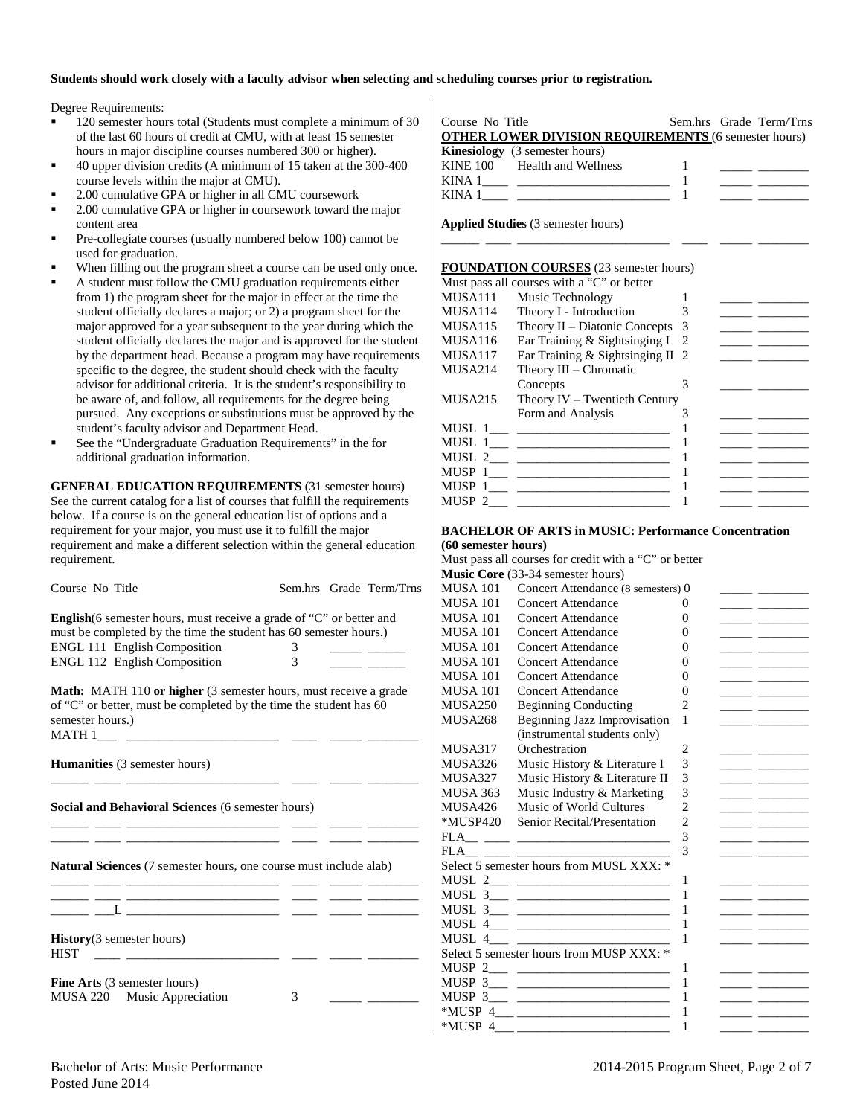#### **Students should work closely with a faculty advisor when selecting and scheduling courses prior to registration.**

Degree Requirements:

- 120 semester hours total (Students must complete a minimum of 30 of the last 60 hours of credit at CMU, with at least 15 semester hours in major discipline courses numbered 300 or higher).
- 40 upper division credits (A minimum of 15 taken at the 300-400 course levels within the major at CMU).
- 2.00 cumulative GPA or higher in all CMU coursework
- 2.00 cumulative GPA or higher in coursework toward the major content area
- Pre-collegiate courses (usually numbered below 100) cannot be used for graduation.
- When filling out the program sheet a course can be used only once.
- A student must follow the CMU graduation requirements either from 1) the program sheet for the major in effect at the time the student officially declares a major; or 2) a program sheet for the major approved for a year subsequent to the year during which the student officially declares the major and is approved for the student by the department head. Because a program may have requirements specific to the degree, the student should check with the faculty advisor for additional criteria. It is the student's responsibility to be aware of, and follow, all requirements for the degree being pursued. Any exceptions or substitutions must be approved by the student's faculty advisor and Department Head.
- See the "Undergraduate Graduation Requirements" in the for additional graduation information.

**GENERAL EDUCATION REQUIREMENTS** (31 semester hours) See the current catalog for a list of courses that fulfill the requirements below. If a course is on the general education list of options and a requirement for your major, you must use it to fulfill the major requirement and make a different selection within the general education requirement.

| Course No Title                                                                                                                                                                                                                              |                    |  | Sem.hrs Grade Term/Trns |  |  |  |  |
|----------------------------------------------------------------------------------------------------------------------------------------------------------------------------------------------------------------------------------------------|--------------------|--|-------------------------|--|--|--|--|
| <b>English</b> (6 semester hours, must receive a grade of "C" or better and<br>must be completed by the time the student has 60 semester hours.)<br><b>ENGL 111 English Composition</b><br>ENGL 112 English Composition                      | 3<br>$\mathcal{E}$ |  |                         |  |  |  |  |
| <b>Math:</b> MATH 110 or higher (3 semester hours, must receive a grade<br>of "C" or better, must be completed by the time the student has 60<br>semester hours.)                                                                            |                    |  |                         |  |  |  |  |
| <b>Humanities</b> (3 semester hours)                                                                                                                                                                                                         |                    |  |                         |  |  |  |  |
| Social and Behavioral Sciences (6 semester hours)                                                                                                                                                                                            |                    |  |                         |  |  |  |  |
| <b>Natural Sciences</b> (7 semester hours, one course must include alab)                                                                                                                                                                     |                    |  |                         |  |  |  |  |
| <u> 1989 - Johann John Harry Harry Harry Harry Harry Harry Harry Harry Harry Harry Harry Harry Harry Harry Harry H</u><br>$\mathbf{L}$ and $\mathbf{L}$ and $\mathbf{L}$ and $\mathbf{L}$ and $\mathbf{L}$ and $\mathbf{L}$ and $\mathbf{L}$ |                    |  |                         |  |  |  |  |
| <b>History</b> (3 semester hours)<br><b>HIST</b>                                                                                                                                                                                             |                    |  |                         |  |  |  |  |
| <b>Fine Arts</b> (3 semester hours)<br>MUSA 220 Music Appreciation                                                                                                                                                                           | 3                  |  |                         |  |  |  |  |

Course No Title Sem.hrs Grade Term/Trns **OTHER LOWER DIVISION REQUIREMENTS** (6 semester hours) **Kinesiology** (3 semester hours)<br>KINE 100 Health and Welln Health and Wellness 1

| TTTTP TOO | <b>TIGHTH GUIG WOLFFLOO</b> |  |  |
|-----------|-----------------------------|--|--|
|           |                             |  |  |
|           |                             |  |  |

\_\_\_\_\_\_ \_\_\_\_ \_\_\_\_\_\_\_\_\_\_\_\_\_\_\_\_\_\_\_\_\_\_\_\_ \_\_\_\_ \_\_\_\_\_ \_\_\_\_\_\_\_\_

**Applied Studies** (3 semester hours)

#### **FOUNDATION COURSES** (23 semester hours)

|         | Must pass all courses with a "C" or better |   |  |
|---------|--------------------------------------------|---|--|
| MUSA111 | Music Technology                           |   |  |
| MUSA114 | Theory I - Introduction                    |   |  |
| MUSA115 | Theory II – Diatonic Concepts              | 3 |  |
| MUSA116 | Ear Training & Sightsinging I              | 2 |  |
| MUSA117 | Ear Training & Sightsinging II 2           |   |  |
| MUSA214 | Theory III – Chromatic                     |   |  |
|         | Concepts                                   |   |  |
| MUSA215 | Theory IV - Twentieth Century              |   |  |
|         | Form and Analysis                          |   |  |
|         |                                            |   |  |
|         |                                            |   |  |
|         |                                            |   |  |
|         |                                            |   |  |
|         | MUSP 1___ _________________                |   |  |
|         |                                            |   |  |
|         |                                            |   |  |

#### **BACHELOR OF ARTS in MUSIC: Performance Concentration (60 semester hours)**

Must pass all courses for credit with a "C" or better

 $*$ MUSP 4  $\qquad \qquad$  1

|                 | $m_{\rm H}$ pass an courses for create with a |                |                                                                                                                       |
|-----------------|-----------------------------------------------|----------------|-----------------------------------------------------------------------------------------------------------------------|
|                 | <b>Music Core</b> (33-34 semester hours)      |                |                                                                                                                       |
| <b>MUSA 101</b> | Concert Attendance (8 semesters) 0            |                |                                                                                                                       |
| <b>MUSA 101</b> | Concert Attendance                            | $\Omega$       | <u> La Carlo de la Carlo de la Carlo de la Carlo de la Carlo de la Carlo de la Carlo de la Carlo de la Carlo de l</u> |
| <b>MUSA 101</b> | Concert Attendance                            | $\Omega$       |                                                                                                                       |
| <b>MUSA 101</b> | Concert Attendance                            | $\Omega$       |                                                                                                                       |
| <b>MUSA 101</b> | Concert Attendance                            | $\Omega$       |                                                                                                                       |
| <b>MUSA 101</b> | <b>Concert Attendance</b>                     | $\Omega$       |                                                                                                                       |
| <b>MUSA 101</b> | Concert Attendance                            | $\theta$       | <u> Albanya a Manazarta da</u>                                                                                        |
| <b>MUSA 101</b> | Concert Attendance                            | 0              | <u> 1989 - Johann John Stone, mars et al.</u>                                                                         |
| MUSA250         | <b>Beginning Conducting</b>                   | $\overline{c}$ | <u> 1989 - John Barn Barn, mars and de Branch Barn, mars and de Branch Barn, mars and de Branch Barn, mars and de</u> |
| <b>MUSA268</b>  | Beginning Jazz Improvisation                  | 1              |                                                                                                                       |
|                 | (instrumental students only)                  |                |                                                                                                                       |
| MUSA317         | Orchestration                                 | 2              |                                                                                                                       |
| MUSA326         | Music History & Literature I                  | 3              |                                                                                                                       |
| MUSA327         | Music History & Literature II                 | 3              |                                                                                                                       |
| <b>MUSA 363</b> | Music Industry & Marketing                    | 3              | <u> 1989 - John Barnett, fransk kongresu</u>                                                                          |
| MUSA426         | Music of World Cultures                       | $\overline{2}$ |                                                                                                                       |
|                 | *MUSP420 Senior Recital/Presentation          | $\overline{c}$ |                                                                                                                       |
|                 |                                               | 3              | <u> 1989 - Andrea Station Books, amerikansk politiker (</u>                                                           |
|                 |                                               | 3              |                                                                                                                       |
|                 | Select 5 semester hours from MUSL XXX: *      |                |                                                                                                                       |
|                 |                                               | 1              |                                                                                                                       |
|                 |                                               | 1              | <u> 1989 - Johann John Stone, mars and de la partie de la partie de la partie de la partie de la partie de la par</u> |
|                 |                                               | 1              | <u> 1989 - John Barn Barn, amerikansk politiker (</u>                                                                 |
|                 | MUSL $4 \_$                                   | 1              | <u> 1989 - John Barn Barn, mars and de Branch Barn, mars and de Branch Barn, mars and de Branch Barn, mars and de</u> |
|                 | MUSL $4 \_$                                   | 1              |                                                                                                                       |
|                 | Select 5 semester hours from MUSP XXX: *      |                |                                                                                                                       |
|                 |                                               | 1              |                                                                                                                       |
|                 |                                               | 1              |                                                                                                                       |
|                 | MUSP $3_{\_\_\_\_}$ $\_\_\_\_\_\_$            | 1              |                                                                                                                       |
| *MUSP 4         |                                               | 1              |                                                                                                                       |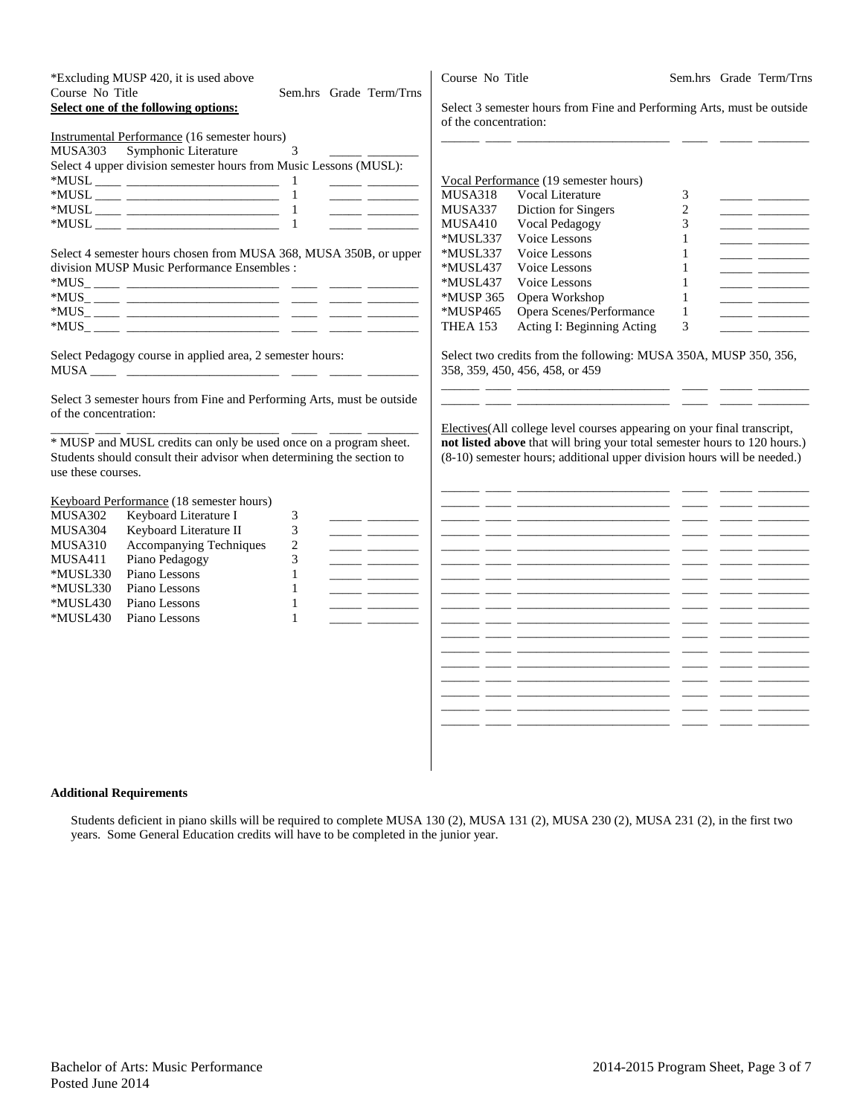| Course No Title                                                                          | *Excluding MUSP 420, it is used above<br>Select one of the following options:                                                                                                                                                                                                     | Sem.hrs Grade Term/Trns                                                                                                                                                                                                                                                                                                                                                                                                                                                                                                                                                                                                                                                                                                                                                                                                                                                                                                                                                                                                                                                                                                                   | Course No Title<br>of the concentration:                                          | Select 3 semester hours from Fine and Performing Arts, must be outside                                                                                                                                                                                                                                                                                                                                                                                                                                                                                                                                                                                                                                                                                                                                                                                                                                                                                                   |                                                                  | Sem.hrs Grade Term/Trns                               |
|------------------------------------------------------------------------------------------|-----------------------------------------------------------------------------------------------------------------------------------------------------------------------------------------------------------------------------------------------------------------------------------|-------------------------------------------------------------------------------------------------------------------------------------------------------------------------------------------------------------------------------------------------------------------------------------------------------------------------------------------------------------------------------------------------------------------------------------------------------------------------------------------------------------------------------------------------------------------------------------------------------------------------------------------------------------------------------------------------------------------------------------------------------------------------------------------------------------------------------------------------------------------------------------------------------------------------------------------------------------------------------------------------------------------------------------------------------------------------------------------------------------------------------------------|-----------------------------------------------------------------------------------|--------------------------------------------------------------------------------------------------------------------------------------------------------------------------------------------------------------------------------------------------------------------------------------------------------------------------------------------------------------------------------------------------------------------------------------------------------------------------------------------------------------------------------------------------------------------------------------------------------------------------------------------------------------------------------------------------------------------------------------------------------------------------------------------------------------------------------------------------------------------------------------------------------------------------------------------------------------------------|------------------------------------------------------------------|-------------------------------------------------------|
| MUSA303                                                                                  | <b>Instrumental Performance</b> (16 semester hours)<br>Symphonic Literature<br>Select 4 upper division semester hours from Music Lessons (MUSL):                                                                                                                                  | 3<br>$\begin{tabular}{ll} \multicolumn{1}{l}{} & \multicolumn{1}{l}{} & \multicolumn{1}{l}{} \\ \multicolumn{1}{l}{} & \multicolumn{1}{l}{} & \multicolumn{1}{l}{} \\ \multicolumn{1}{l}{} & \multicolumn{1}{l}{} & \multicolumn{1}{l}{} \\ \multicolumn{1}{l}{} & \multicolumn{1}{l}{} & \multicolumn{1}{l}{} \\ \multicolumn{1}{l}{} & \multicolumn{1}{l}{} \\ \multicolumn{1}{l}{} & \multicolumn{1}{l}{} \\ \multicolumn{1}{l}{} & \multicolumn{1}{l}{} \\ \multicolumn{1}{l}{} & \multic$                                                                                                                                                                                                                                                                                                                                                                                                                                                                                                                                                                                                                                            | <b>MUSA318</b><br>MUSA337<br>MUSA410                                              | Vocal Performance (19 semester hours)<br>Vocal Literature<br>Diction for Singers<br><b>Vocal Pedagogy</b>                                                                                                                                                                                                                                                                                                                                                                                                                                                                                                                                                                                                                                                                                                                                                                                                                                                                | 3<br>$\overline{2}$<br>3                                         | <u> Tanzania (</u>                                    |
|                                                                                          | Select 4 semester hours chosen from MUSA 368, MUSA 350B, or upper<br>division MUSP Music Performance Ensembles :                                                                                                                                                                  |                                                                                                                                                                                                                                                                                                                                                                                                                                                                                                                                                                                                                                                                                                                                                                                                                                                                                                                                                                                                                                                                                                                                           | *MUSL337<br>*MUSL337<br>*MUSL437<br>*MUSL437<br>*MUSP 365<br>*MUSP465<br>THEA 153 | Voice Lessons<br>Voice Lessons<br>Voice Lessons<br>Voice Lessons<br>Opera Workshop<br>Opera Scenes/Performance<br>Acting I: Beginning Acting                                                                                                                                                                                                                                                                                                                                                                                                                                                                                                                                                                                                                                                                                                                                                                                                                             | 1<br>$\mathbf{1}$<br>1<br>1<br>$\mathbf{1}$<br>$\mathbf{1}$<br>3 | $\overline{\phantom{a}}$ and $\overline{\phantom{a}}$ |
| of the concentration:<br>use these courses.                                              | Select Pedagogy course in applied area, 2 semester hours:<br>Select 3 semester hours from Fine and Performing Arts, must be outside<br>* MUSP and MUSL credits can only be used once on a program sheet.<br>Students should consult their advisor when determining the section to |                                                                                                                                                                                                                                                                                                                                                                                                                                                                                                                                                                                                                                                                                                                                                                                                                                                                                                                                                                                                                                                                                                                                           |                                                                                   | Select two credits from the following: MUSA 350A, MUSP 350, 356,<br>358, 359, 450, 456, 458, or 459<br>Electives (All college level courses appearing on your final transcript,<br>not listed above that will bring your total semester hours to 120 hours.)<br>(8-10) semester hours; additional upper division hours will be needed.)                                                                                                                                                                                                                                                                                                                                                                                                                                                                                                                                                                                                                                  |                                                                  |                                                       |
| MUSA302<br>MUSA304<br>MUSA310<br>MUSA411<br>*MUSL330<br>*MUSL330<br>*MUSL430<br>*MUSL430 | Keyboard Performance (18 semester hours)<br>Keyboard Literature I<br>Keyboard Literature II<br>Accompanying Techniques<br>Piano Pedagogy<br>Piano Lessons<br>Piano Lessons<br>Piano Lessons<br>Piano Lessons                                                                      | $\ensuremath{\mathfrak{Z}}$<br>3<br>$\overline{\phantom{a}}$ and $\overline{\phantom{a}}$<br>$\overline{2}$<br>$\frac{1}{1-\frac{1}{1-\frac{1}{1-\frac{1}{1-\frac{1}{1-\frac{1}{1-\frac{1}{1-\frac{1}{1-\frac{1}{1-\frac{1}{1-\frac{1}{1-\frac{1}{1-\frac{1}{1-\frac{1}{1-\frac{1}{1-\frac{1}{1-\frac{1}{1-\frac{1}{1-\frac{1}{1-\frac{1}{1-\frac{1}{1-\frac{1}{1-\frac{1}{1-\frac{1}{1-\frac{1}{1-\frac{1}{1-\frac{1}{1-\frac{1}{1-\frac{1}{1-\frac{1}{1-\frac{1}{1-\frac{1}{1-\frac{1}{1-\frac{1}{1-\frac{1}{1-\frac{1}{1-\frac{1$<br>3<br>1<br>$\mathbf{1}$<br>$\mathbf{1}$<br><u> Alexandria (Alexandria)</u><br>$\mathbf{1}$<br>$\begin{tabular}{ll} \toprule \end{tabular} \begin{tabular}{ll} \toprule \end{tabular} \end{tabular} \begin{tabular}{ll} \multicolumn{3}{l}{} \multicolumn{3}{l}{} \multicolumn{3}{l}{} \multicolumn{3}{l}{} \multicolumn{3}{l}{} \multicolumn{3}{l}{} \multicolumn{3}{l}{} \multicolumn{3}{l}{} \multicolumn{3}{l}{} \multicolumn{3}{l}{} \multicolumn{3}{l}{} \multicolumn{3}{l}{} \multicolumn{3}{l}{} \multicolumn{3}{l}{} \multicolumn{3}{l}{} \multicolumn{3}{l}{} \multicolumn{3}{l}{} \mult$ | __ __                                                                             | <u> 1999 - John Harrison, mars ann an 1998 - 1999 - 1999 - 1999 - 1999 - 1999 - 1999 - 1999 - 1999 - 1999 - 1999 - </u><br><u> 1999 - 1999 - 1999 - 1999 - 1999 - 1999 - 1999 - 1999 - 1999 - 1999 - 1999 - 1999 - 1999 - 1999 - 1999 - 1999 - 1999 - 1999 - 1999 - 1999 - 1999 - 1999 - 1999 - 1999 - 1999 - 1999 - 1999 - 1999 - 1999 - 1999 - 1999 - 199</u><br><u> 1999 - John Harrison, mars ann an 1998 - 1999 - 1999 - 1999 - 1999 - 1999 - 1999 - 1999 - 1999 - 1999 - 1999 - 1999 - 1999 - 1999 - 1999 - 1999 - 1999 - 1999 - 1999 - 1999 - 1999 - 1999 - 1999 - 1999 - 1999 - 1999 - 1999</u><br><u> 1999 - 1999 - 1999 - 1999 - 1999 - 1999 - 1999 - 1999 - 1999 - 1999 - 1999 - 1999 - 1999 - 1999 - 1999 - 1999 - 1999 - 1999 - 1999 - 1999 - 1999 - 1999 - 1999 - 1999 - 1999 - 1999 - 1999 - 1999 - 1999 - 1999 - 1999 - 199</u><br><u> 1989 - John Harrison, mars eta inperiodo eta inperiodo eta inperiodo eta inperiodo eta inperiodo eta inperiod</u> | _ _                                                              |                                                       |

#### **Additional Requirements**

Students deficient in piano skills will be required to complete MUSA 130 (2), MUSA 131 (2), MUSA 230 (2), MUSA 231 (2), in the first two years. Some General Education credits will have to be completed in the junior year.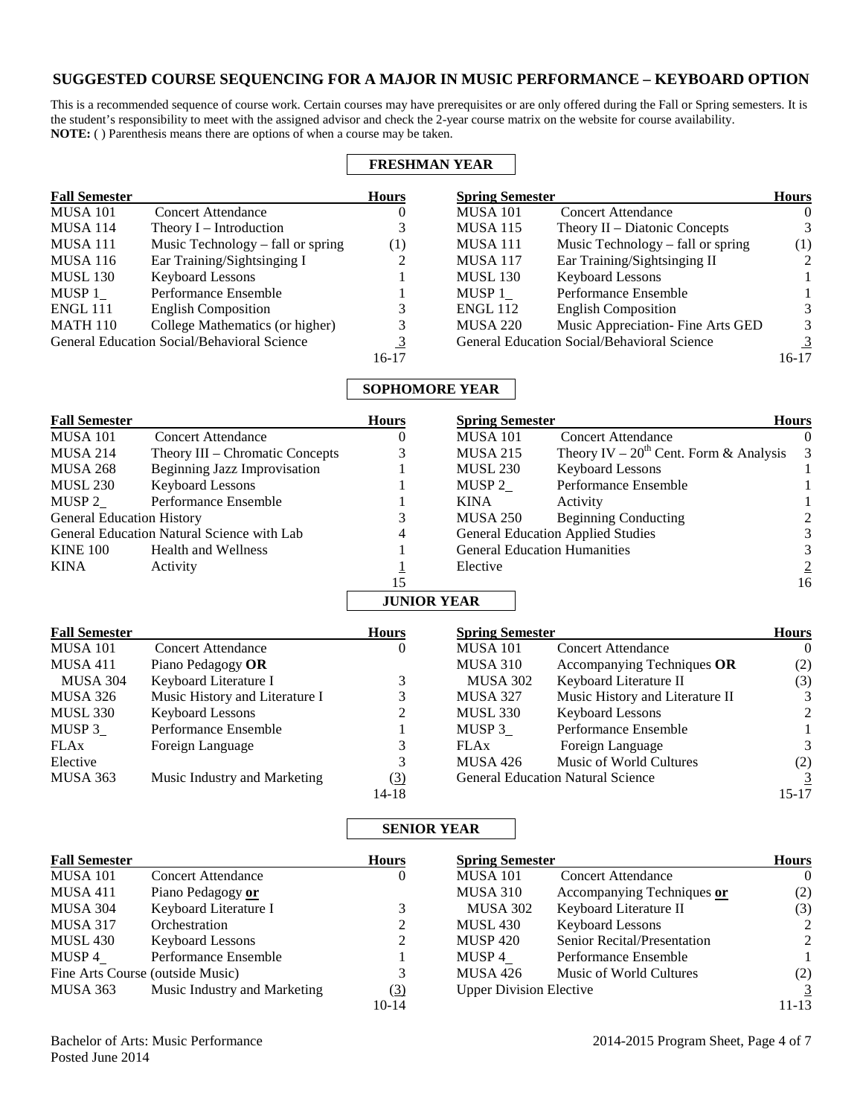## **SUGGESTED COURSE SEQUENCING FOR A MAJOR IN MUSIC PERFORMANCE – KEYBOARD OPTION**

This is a recommended sequence of course work. Certain courses may have prerequisites or are only offered during the Fall or Spring semesters. It is the student's responsibility to meet with the assigned advisor and check the 2-year course matrix on the website for course availability. **NOTE:** ( ) Parenthesis means there are options of when a course may be taken.

| <b>FRESHMAN YEAR</b> |                                             |              |                        |                                             |               |
|----------------------|---------------------------------------------|--------------|------------------------|---------------------------------------------|---------------|
| <b>Fall Semester</b> |                                             | <b>Hours</b> | <b>Spring Semester</b> |                                             | <b>Hours</b>  |
| <b>MUSA 101</b>      | Concert Attendance                          | O            | <b>MUSA 101</b>        | <b>Concert Attendance</b>                   | $\theta$      |
| <b>MUSA 114</b>      | Theory $I$ – Introduction                   |              | <b>MUSA 115</b>        | Theory $II$ – Diatonic Concepts             | 3             |
| <b>MUSA 111</b>      | Music Technology – fall or spring           | (1)          | MUSA 111               | Music Technology – fall or spring           | (1)           |
| <b>MUSA 116</b>      | Ear Training/Sightsinging I                 |              | <b>MUSA 117</b>        | Ear Training/Sightsinging II                | $\mathcal{L}$ |
| <b>MUSL 130</b>      | Keyboard Lessons                            |              | <b>MUSL 130</b>        | <b>Keyboard Lessons</b>                     |               |
| MUSP 1               | Performance Ensemble                        |              | MUSP 1                 | Performance Ensemble                        |               |
| <b>ENGL 111</b>      | <b>English Composition</b>                  |              | <b>ENGL 112</b>        | <b>English Composition</b>                  | 3             |
| <b>MATH 110</b>      | College Mathematics (or higher)             | 3            | <b>MUSA 220</b>        | Music Appreciation- Fine Arts GED           | 3             |
|                      | General Education Social/Behavioral Science | 3            |                        | General Education Social/Behavioral Science |               |
|                      |                                             | 16-17        |                        |                                             | $16-17$       |

## **SOPHOMORE YEAR**

| <b>Fall Semester</b>             |                                            | <b>Hours</b>       | <b>Spring Semester</b> |                                             | <b>Hours</b>  |
|----------------------------------|--------------------------------------------|--------------------|------------------------|---------------------------------------------|---------------|
| <b>MUSA 101</b>                  | <b>Concert Attendance</b>                  |                    | <b>MUSA 101</b>        | <b>Concert Attendance</b>                   | $\theta$      |
| MUSA 214                         | Theory III – Chromatic Concepts            |                    | <b>MUSA 215</b>        | Theory IV – $20^{th}$ Cent. Form & Analysis | $\mathcal{E}$ |
| MUSA 268                         | Beginning Jazz Improvisation               |                    | <b>MUSL 230</b>        | <b>Keyboard Lessons</b>                     |               |
| <b>MUSL 230</b>                  | <b>Keyboard Lessons</b>                    |                    | MUSP 2                 | Performance Ensemble                        |               |
| MUSP 2                           | Performance Ensemble                       |                    | <b>KINA</b>            | Activity                                    |               |
| <b>General Education History</b> |                                            |                    | MUSA 250               | <b>Beginning Conducting</b>                 |               |
|                                  | General Education Natural Science with Lab | 4                  |                        | <b>General Education Applied Studies</b>    | 3             |
| <b>KINE 100</b>                  | Health and Wellness                        |                    |                        | <b>General Education Humanities</b>         |               |
| <b>KINA</b>                      | Activity                                   |                    | Elective               |                                             |               |
|                                  |                                            | 15                 |                        |                                             | 16            |
|                                  |                                            | <b>JUNIOR YEAR</b> |                        |                                             |               |

| <b>Fall Semester</b> |                                | <b>Hours</b> | <b>Spring Semester</b> |                                          | <b>Hours</b>   |
|----------------------|--------------------------------|--------------|------------------------|------------------------------------------|----------------|
| <b>MUSA 101</b>      | <b>Concert Attendance</b>      | 0            | <b>MUSA 101</b>        | <b>Concert Attendance</b>                | $\theta$       |
| <b>MUSA 411</b>      | Piano Pedagogy OR              |              | MUSA 310               | Accompanying Techniques OR               | (2)            |
| <b>MUSA 304</b>      | Keyboard Literature I          |              | <b>MUSA 302</b>        | Keyboard Literature II                   | (3)            |
| MUSA 326             | Music History and Literature I |              | <b>MUSA 327</b>        | Music History and Literature II          | 3              |
| MUSL 330             | <b>Keyboard Lessons</b>        | ↑            | MUSL 330               | <b>Keyboard Lessons</b>                  | $\mathcal{L}$  |
| MUSP 3               | Performance Ensemble           |              | MUSP 3                 | Performance Ensemble                     |                |
| <b>FLAx</b>          | Foreign Language               |              | <b>FLAx</b>            | Foreign Language                         | 3              |
| Elective             |                                | 3            | <b>MUSA 426</b>        | Music of World Cultures                  | (2)            |
| <b>MUSA 363</b>      | Music Industry and Marketing   | <u>(3)</u>   |                        | <b>General Education Natural Science</b> | $\overline{3}$ |
|                      |                                | 14-18        |                        |                                          | 15-17          |

## **SENIOR YEAR**

| <b>Fall Semester</b>             |                              | <b>Hours</b> | <b>Spring Semester</b>         |                             | <b>Hours</b>   |
|----------------------------------|------------------------------|--------------|--------------------------------|-----------------------------|----------------|
| <b>MUSA 101</b>                  | <b>Concert Attendance</b>    | $\theta$     | <b>MUSA 101</b>                | <b>Concert Attendance</b>   | $\overline{0}$ |
| <b>MUSA 411</b>                  | Piano Pedagogy or            |              | <b>MUSA 310</b>                | Accompanying Techniques or  | (2)            |
| MUSA 304                         | Keyboard Literature I        |              | <b>MUSA 302</b>                | Keyboard Literature II      | (3)            |
| <b>MUSA 317</b>                  | Orchestration                |              | <b>MUSL 430</b>                | <b>Keyboard Lessons</b>     | 2              |
| <b>MUSL 430</b>                  | <b>Keyboard Lessons</b>      | ∍            | <b>MUSP 420</b>                | Senior Recital/Presentation | 2              |
| MUSP 4                           | Performance Ensemble         |              | MUSP 4                         | Performance Ensemble        |                |
| Fine Arts Course (outside Music) |                              |              | <b>MUSA 426</b>                | Music of World Cultures     | (2)            |
| MUSA 363                         | Music Industry and Marketing | (3)          | <b>Upper Division Elective</b> |                             | $\overline{3}$ |
|                                  |                              | $10-14$      |                                |                             | $11 - 13$      |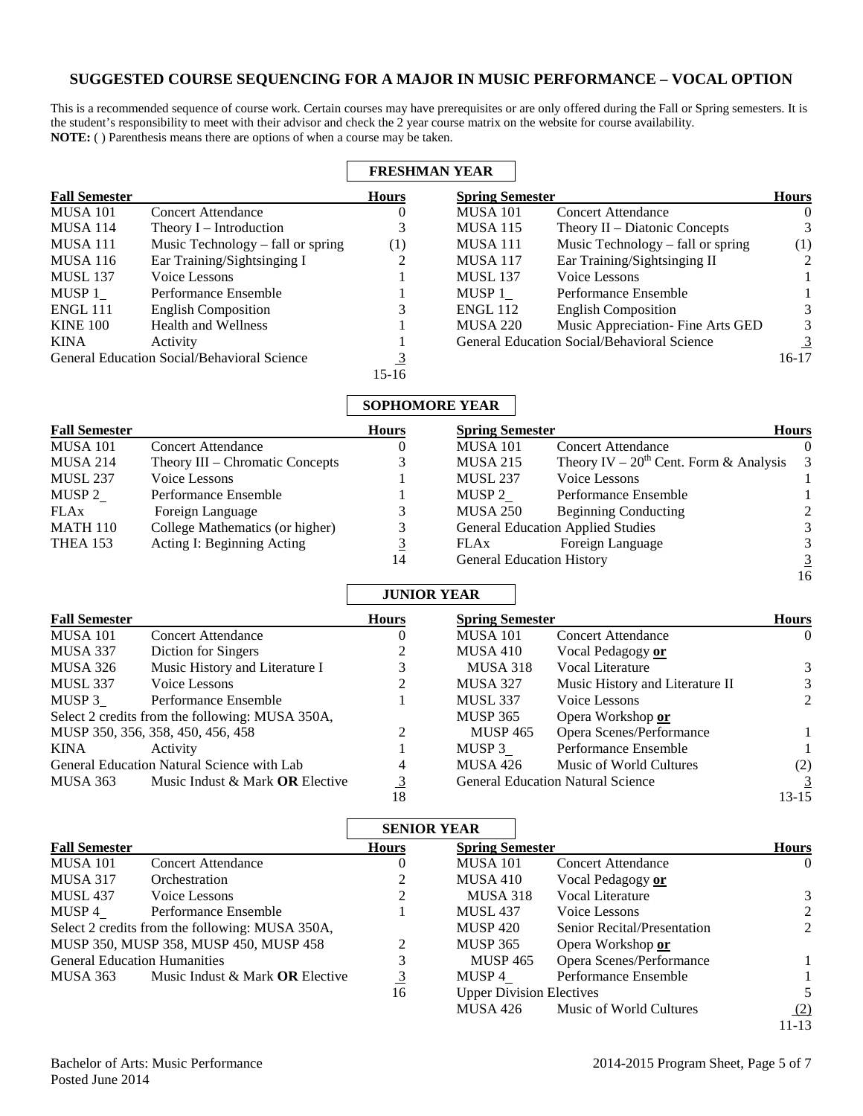## **SUGGESTED COURSE SEQUENCING FOR A MAJOR IN MUSIC PERFORMANCE – VOCAL OPTION**

This is a recommended sequence of course work. Certain courses may have prerequisites or are only offered during the Fall or Spring semesters. It is the student's responsibility to meet with their advisor and check the 2 year course matrix on the website for course availability. **NOTE:** ( ) Parenthesis means there are options of when a course may be taken.

|                      |                                             | <b>FRESHMAN YEAR</b> |                        |                                                    |              |
|----------------------|---------------------------------------------|----------------------|------------------------|----------------------------------------------------|--------------|
| <b>Fall Semester</b> |                                             | <b>Hours</b>         | <b>Spring Semester</b> |                                                    | <b>Hours</b> |
| <b>MUSA 101</b>      | <b>Concert Attendance</b>                   | $\theta$             | <b>MUSA 101</b>        | <b>Concert Attendance</b>                          | $\Omega$     |
| <b>MUSA 114</b>      | Theory $I$ – Introduction                   |                      | <b>MUSA 115</b>        | Theory $II$ – Diatonic Concepts                    | 3            |
| MUSA 111             | Music Technology – fall or spring           | (1)                  | <b>MUSA 111</b>        | Music Technology – fall or spring                  | (1)          |
| <b>MUSA 116</b>      | Ear Training/Sightsinging I                 |                      | <b>MUSA 117</b>        | Ear Training/Sightsinging II                       | 2            |
| <b>MUSL 137</b>      | Voice Lessons                               |                      | <b>MUSL 137</b>        | Voice Lessons                                      |              |
| MUSP 1               | Performance Ensemble                        |                      | MUSP 1                 | Performance Ensemble                               |              |
| <b>ENGL 111</b>      | <b>English Composition</b>                  |                      | <b>ENGL 112</b>        | <b>English Composition</b>                         | 3.           |
| <b>KINE 100</b>      | <b>Health and Wellness</b>                  |                      | <b>MUSA 220</b>        | Music Appreciation- Fine Arts GED                  | 3            |
| <b>KINA</b>          | Activity                                    |                      |                        | <b>General Education Social/Behavioral Science</b> |              |
|                      | General Education Social/Behavioral Science |                      |                        |                                                    | $16-17$      |
|                      |                                             | $15-16$              |                        |                                                    |              |

## **SOPHOMORE YEAR**

| <b>Fall Semester</b> |                                 | <b>Hours</b> | <b>Spring Semester</b>           |                                               | <b>Hours</b> |
|----------------------|---------------------------------|--------------|----------------------------------|-----------------------------------------------|--------------|
| <b>MUSA 101</b>      | <b>Concert Attendance</b>       |              | <b>MUSA 101</b>                  | <b>Concert Attendance</b>                     | $\Omega$     |
| <b>MUSA 214</b>      | Theory III – Chromatic Concepts |              | <b>MUSA 215</b>                  | Theory IV – $20^{th}$ Cent. Form & Analysis 3 |              |
| <b>MUSL 237</b>      | Voice Lessons                   |              | <b>MUSL 237</b>                  | Voice Lessons                                 |              |
| MUSP 2               | Performance Ensemble            |              | MUSP 2                           | Performance Ensemble                          |              |
| <b>FLAx</b>          | Foreign Language                |              | <b>MUSA 250</b>                  | <b>Beginning Conducting</b>                   |              |
| <b>MATH 110</b>      | College Mathematics (or higher) |              |                                  | <b>General Education Applied Studies</b>      | 3            |
| <b>THEA 153</b>      | Acting I: Beginning Acting      | 3            | FLAx                             | Foreign Language                              | 3            |
|                      |                                 | 14           | <b>General Education History</b> |                                               | 3            |

## **JUNIOR YEAR**

| <b>Fall Semester</b>                            |                                   | <b>Hours</b> | <b>Spring Semester</b> |                                          |                |
|-------------------------------------------------|-----------------------------------|--------------|------------------------|------------------------------------------|----------------|
| MUSA 101                                        | <b>Concert Attendance</b>         | $\theta$     | MUSA 101               | <b>Concert Attendance</b>                | $\theta$       |
| MUSA 337                                        | Diction for Singers               |              | MUSA 410               | Vocal Pedagogy or                        |                |
| MUSA 326                                        | Music History and Literature I    |              | MUSA 318               | Vocal Literature                         | 3              |
| <b>MUSL 337</b>                                 | Voice Lessons                     |              | <b>MUSA 327</b>        | Music History and Literature II          |                |
| MUSP 3                                          | Performance Ensemble              |              | <b>MUSL 337</b>        | Voice Lessons                            | $\mathfrak{D}$ |
| Select 2 credits from the following: MUSA 350A, |                                   |              | <b>MUSP 365</b>        | Opera Workshop or                        |                |
| MUSP 350, 356, 358, 450, 456, 458               |                                   |              | <b>MUSP 465</b>        | Opera Scenes/Performance                 |                |
| KINA                                            | Activity                          |              | MUSP 3                 | Performance Ensemble                     |                |
| General Education Natural Science with Lab      |                                   | 4            | <b>MUSA 426</b>        | Music of World Cultures                  | (2)            |
| MUSA 363                                        | Music Indust & Mark $OR$ Elective | 3            |                        | <b>General Education Natural Science</b> |                |
|                                                 |                                   | 18           |                        |                                          | 13-15          |

|                                                 |                                        |                | <b>SENIOR YEAR</b>              |                                    |               |
|-------------------------------------------------|----------------------------------------|----------------|---------------------------------|------------------------------------|---------------|
| <b>Fall Semester</b>                            |                                        | <b>Hours</b>   | <b>Spring Semester</b>          |                                    | <b>Hours</b>  |
| MUSA 101                                        | <b>Concert Attendance</b>              | U              | <b>MUSA 101</b>                 | <b>Concert Attendance</b>          | $\Omega$      |
| <b>MUSA 317</b>                                 | Orchestration                          |                | MUSA 410                        | Vocal Pedagogy or                  |               |
| <b>MUSL 437</b>                                 | Voice Lessons                          | 2              | <b>MUSA 318</b>                 | Vocal Literature                   | 3             |
| MUSP 4                                          | Performance Ensemble                   |                | <b>MUSL 437</b>                 | Voice Lessons                      | $\mathcal{L}$ |
| Select 2 credits from the following: MUSA 350A, |                                        |                | <b>MUSP 420</b>                 | <b>Senior Recital/Presentation</b> | 2             |
| MUSP 350, MUSP 358, MUSP 450, MUSP 458          |                                        | $\mathfrak{D}$ | <b>MUSP 365</b>                 | Opera Workshop or                  |               |
| <b>General Education Humanities</b>             |                                        |                | <b>MUSP 465</b>                 | Opera Scenes/Performance           |               |
| MUSA 363                                        | Music Indust & Mark <b>OR</b> Elective | $\overline{3}$ | MUSP 4                          | Performance Ensemble               |               |
|                                                 |                                        | 16             | <b>Upper Division Electives</b> |                                    |               |
|                                                 |                                        |                | MUSA 426                        | Music of World Cultures            | (2)           |
|                                                 |                                        |                |                                 |                                    | 11-13         |

16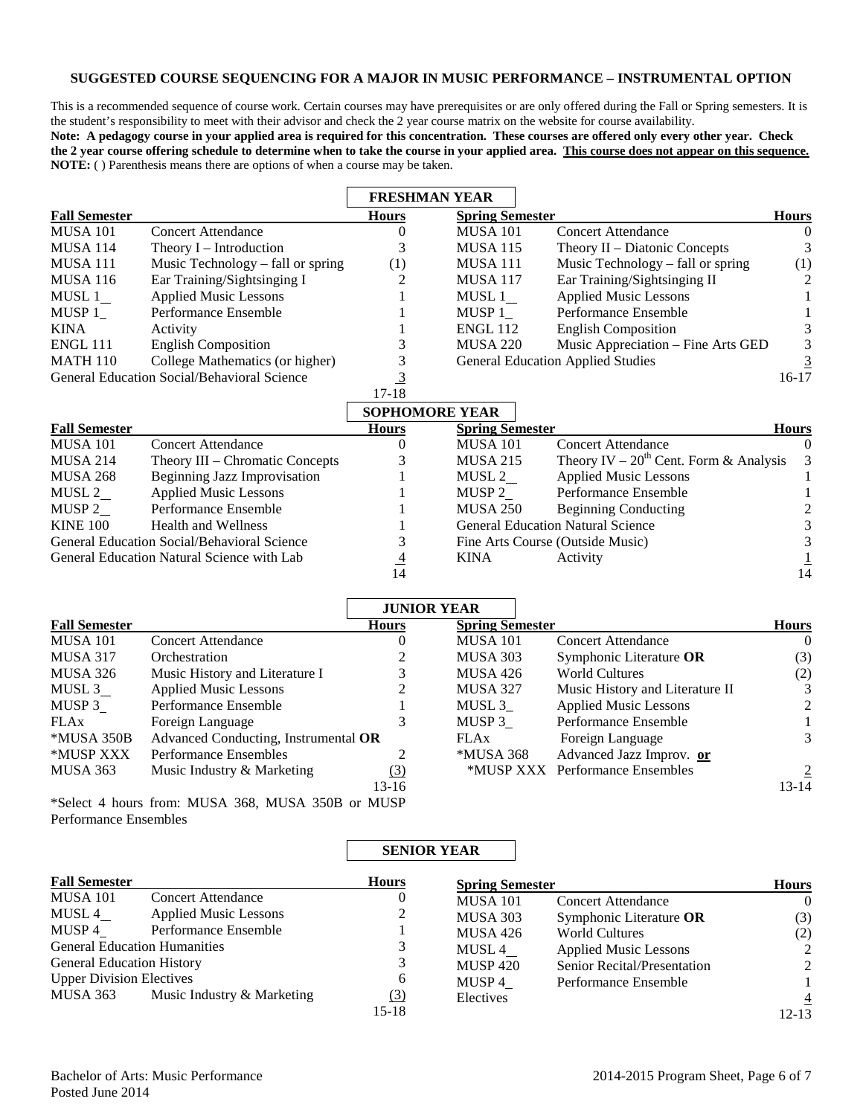#### **SUGGESTED COURSE SEQUENCING FOR A MAJOR IN MUSIC PERFORMANCE – INSTRUMENTAL OPTION**

This is a recommended sequence of course work. Certain courses may have prerequisites or are only offered during the Fall or Spring semesters. It is the student's responsibility to meet with their advisor and check the 2 year course matrix on the website for course availability.

**Note: A pedagogy course in your applied area is required for this concentration. These courses are offered only every other year. Check the 2 year course offering schedule to determine when to take the course in your applied area. This course does not appear on this sequence. NOTE:** ( ) Parenthesis means there are options of when a course may be taken.

|                      |                                                    | <b>FRESHMAN YEAR</b> |                        |                                          |               |
|----------------------|----------------------------------------------------|----------------------|------------------------|------------------------------------------|---------------|
| <b>Fall Semester</b> |                                                    | <b>Hours</b>         | <b>Spring Semester</b> |                                          | <b>Hours</b>  |
| MUSA 101             | Concert Attendance                                 | $\theta$             | <b>MUSA 101</b>        | Concert Attendance                       | $\theta$      |
| MUSA 114             | Theory $I$ – Introduction                          |                      | <b>MUSA 115</b>        | Theory $II$ – Diatonic Concepts          |               |
| MUSA 111             | Music Technology – fall or spring                  | $\left(1\right)$     | MUSA 111               | Music Technology - fall or spring        | (1)           |
| MUSA 116             | Ear Training/Sightsinging I                        | 2                    | <b>MUSA 117</b>        | Ear Training/Sightsinging II             | $\mathcal{L}$ |
| MUSL 1               | <b>Applied Music Lessons</b>                       |                      | MUSL 1                 | <b>Applied Music Lessons</b>             |               |
| MUSP 1               | Performance Ensemble                               |                      | MUSP 1                 | Performance Ensemble                     |               |
| KINA                 | Activity                                           |                      | <b>ENGL 112</b>        | <b>English Composition</b>               |               |
| ENGL 111             | <b>English Composition</b>                         |                      | <b>MUSA 220</b>        | Music Appreciation - Fine Arts GED       | 3             |
| MATH 110             | College Mathematics (or higher)                    |                      |                        | <b>General Education Applied Studies</b> |               |
|                      | <b>General Education Social/Behavioral Science</b> |                      |                        |                                          | $16-17$       |
|                      |                                                    | 17-18                |                        |                                          |               |

|                                             |                                     | <b>SOPHOMORE YEAR</b> |                        |                                               |              |
|---------------------------------------------|-------------------------------------|-----------------------|------------------------|-----------------------------------------------|--------------|
| <b>Fall Semester</b>                        |                                     | <b>Hours</b>          | <b>Spring Semester</b> |                                               | <b>Hours</b> |
| <b>MUSA 101</b>                             | <b>Concert Attendance</b>           |                       | <b>MUSA 101</b>        | <b>Concert Attendance</b>                     | $\Omega$     |
| MUSA 214                                    | Theory III – Chromatic Concepts     |                       | <b>MUSA 215</b>        | Theory IV – $20^{th}$ Cent. Form & Analysis 3 |              |
| MUSA 268                                    | <b>Beginning Jazz Improvisation</b> |                       | MUSL 2                 | <b>Applied Music Lessons</b>                  |              |
| MUSL 2                                      | <b>Applied Music Lessons</b>        |                       | MUSP 2                 | Performance Ensemble                          |              |
| MUSP 2                                      | Performance Ensemble                |                       | <b>MUSA 250</b>        | <b>Beginning Conducting</b>                   | 2            |
| <b>KINE 100</b>                             | <b>Health and Wellness</b>          |                       |                        | <b>General Education Natural Science</b>      | 3            |
| General Education Social/Behavioral Science |                                     |                       |                        | Fine Arts Course (Outside Music)              | 3            |
| General Education Natural Science with Lab  |                                     | 4                     | KINA                   | Activity                                      |              |
|                                             |                                     | 14                    |                        |                                               | 14           |

|                      |                                                            | <b>JUNIOR YEAR</b> |                        |                                 |                |
|----------------------|------------------------------------------------------------|--------------------|------------------------|---------------------------------|----------------|
| <b>Fall Semester</b> |                                                            | <b>Hours</b>       | <b>Spring Semester</b> |                                 | <b>Hours</b>   |
| <b>MUSA 101</b>      | <b>Concert Attendance</b>                                  | $\theta$           | MUSA 101               | <b>Concert Attendance</b>       | $\theta$       |
| <b>MUSA 317</b>      | Orchestration                                              |                    | MUSA 303               | Symphonic Literature OR         | (3)            |
| MUSA 326             | Music History and Literature I                             |                    | MUSA 426               | <b>World Cultures</b>           | (2)            |
| MUSL 3               | <b>Applied Music Lessons</b>                               |                    | <b>MUSA 327</b>        | Music History and Literature II | 3              |
| MUSP 3               | Performance Ensemble                                       |                    | MUSL 3                 | <b>Applied Music Lessons</b>    | $\mathfrak{D}$ |
| FLAx                 | Foreign Language                                           | 3                  | MUSP 3                 | Performance Ensemble            |                |
| *MUSA 350B           | Advanced Conducting, Instrumental OR                       |                    | <b>FLAx</b>            | Foreign Language                | 3              |
| *MUSP XXX            | Performance Ensembles                                      |                    | *MUSA 368              | Advanced Jazz Improv. or        |                |
| MUSA 363             | Music Industry & Marketing                                 | $\Omega$           |                        | *MUSP XXX Performance Ensembles | $\overline{2}$ |
|                      |                                                            | 13-16              |                        |                                 | 13-14          |
|                      | $\star$ Select 4 hours from: MIISA 368 MIISA 350B or MIISP |                    |                        |                                 |                |

\*Select 4 hours from: MUSA 368, MUSA 350B or MUSP Performance Ensembles

# **SENIOR YEAR**

| <b>Fall Semester</b>                |                              | <b>Hours</b> | <b>Spring Semester</b> |                              | <b>Hours</b>   |
|-------------------------------------|------------------------------|--------------|------------------------|------------------------------|----------------|
| <b>MUSA 101</b>                     | <b>Concert Attendance</b>    |              | <b>MUSA 101</b>        | <b>Concert Attendance</b>    | $\overline{0}$ |
| MUSL 4                              | <b>Applied Music Lessons</b> | 2            | <b>MUSA 303</b>        | Symphonic Literature OR      | (3)            |
| MUSP 4                              | Performance Ensemble         |              | <b>MUSA 426</b>        | <b>World Cultures</b>        | (2)            |
| <b>General Education Humanities</b> |                              |              | MUSL 4                 | <b>Applied Music Lessons</b> | 2              |
| <b>General Education History</b>    |                              |              | <b>MUSP 420</b>        | Senior Recital/Presentation  | 2              |
| <b>Upper Division Electives</b>     |                              | 6            | MUSP 4                 | Performance Ensemble         |                |
| MUSA 363                            | Music Industry & Marketing   | <u>(3)</u>   | Electives              |                              | $\overline{4}$ |
|                                     |                              | $15 - 18$    |                        |                              | $12 - 13$      |